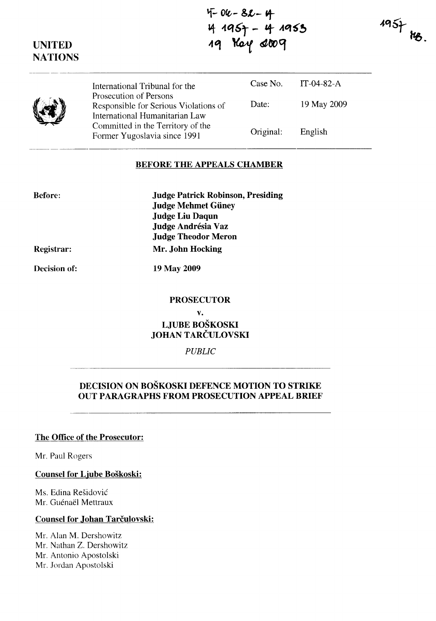*'1-* **Oft-- &L- 't**   $4$  1957 - 4 1953  $\frac{1}{4}$  doog

 $195 + 18$ 

| y<br>v, |
|---------|
|         |

**UNITED NATIONS** 

> International Tribunal for the Prosecution of Persons Responsible for Serious Violations of International Humanitarian Law Committed in the Territory of the Former Yugoslavia since 1991 Case No. Date: Original: IT-04-82-A 19 May 2009 English

### **BEFORE THE APPEALS CHAMBER**

**Judge Patrick Robinson, Presiding Judge Mehmet Giiney Judge Liu Daqun Judge Andresia Vaz Judge Theodor Meron Mr. John Hocking** 

**Registrar:** 

**Before:** 

**Decision of:** 

**19 May 2009** 

### **PROSECUTOR**

**v. LJUBE BOŠKOSKI JOHAN** TARČULOVSKI

*PUBLIC* 

# **DECISION ON BOŠKOSKI DEFENCE MOTION TO STRIKE OUT PARAGRAPHS FROM PROSECUTION APPEAL BRIEF**

## **The Office of the Prosecutor:**

Mr. Paul Rogers

**Counsel for Ljube Boškoski:** 

Ms. Edina Rešidović Mr. Guénaël Mettraux

# **Counsel for Johan** Tarčulovski:

Mr. Alan M. Dershowitz Mr. Nathan Z. Dershowitz Mr. Antonio Apostolski Mr. Jordan Apostolski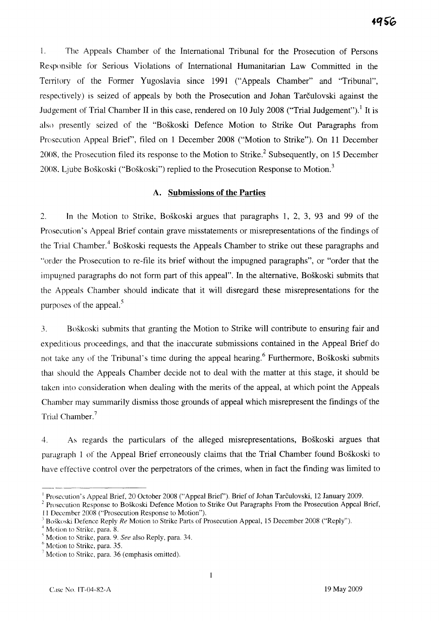i. The Appeals Chamber of the International Tribunal for the Prosecution of Persons Responsible for Serious Violations of International Humanitarian Law Committed in the Territory of the Former Yugoslavia since 1991 ("Appeals Chamber" and "Tribunal", respectively) is seized of appeals by both the Prosecution and Johan Tarčulovski against the Judgement of Trial Chamber II in this case, rendered on 10 July 2008 ("Trial Judgement").<sup>1</sup> It is also presently seized of the "Boškoski Defence Motion to Strike Out Paragraphs from Prosecution Appeal Brief', filed on 1 December 2008 ("Motion to Strike"). On 11 December 2008, the Prosecution filed its response to the Motion to Strike.<sup>2</sup> Subsequently, on 15 December 2008. Ljube Boškoski ("Boškoski") replied to the Prosecution Response to Motion. <sup>3</sup>

## **A. Submissions of the Parties**

2. In the Motion to Strike, Boškoski argues that paragraphs 1, 2, 3, 93 and 99 of the Prosecution's Appeal Brief contain grave misstatements or misrepresentations of the findings of the Trial Chamber.<sup>4</sup> Boškoski requests the Appeals Chamber to strike out these paragraphs and "order the Prosecution to re-file its brief without the impugned paragraphs", or "order that the impugned paragraphs do not form part of this appeal". In the alternative, Boškoski submits that the Appeals Chamber should indicate that it will disregard these misrepresentations for the purposes of the appeal.<sup>5</sup>

3. Boškoski submits that granting the Motion to Strike will contribute to ensuring fair and expeditious proceedings, and that the inaccurate submissions contained in the Appeal Brief do not take any of the Tribunal's time during the appeal hearing.<sup>6</sup> Furthermore, Boškoski submits thaI should the Appeals Chamber decide not to deal with the matter at this stage, it should be taken into consideration when dealing with the merits of the appeal, at which point the Appeals Chamber may summarily dismiss those grounds of appeal which misrepresent the findings of the Trial Chamber.<sup>7</sup>

4. As regards the particulars of the alleged misrepresentations, Boškoski argues that paragraph l of the Appeal Brief erroneously claims that the Trial Chamber found Boškoski to have effective control over the perpetrators of the crimes, when in fact the finding was limited to

Prosecution's Appeal Brief, 20 October 2008 ("Appeal Brief"). Brief of Johan Tarčulovski, 12 January 2009.

<sup>&</sup>lt;sup>2</sup> Prosecution Response to Boškoski Defence Motion to Strike Out Paragraphs From the Prosecution Appeal Brief, I l December 2008 ("Prosecution Response to Motion").

<sup>3</sup>Boškuski Defence Reply *Re* Motion to Strike Parts of Prosecution Appeal, 15 December 2008 ("Reply").

Motion to Strike, para. 8.

Motion to Strike, para. 9. *See* also Reply, para. 34.

Motion to Strike, para. 35.

 $\frac{7}{7}$  Motion to Strike, para. 36 (emphasis omitted).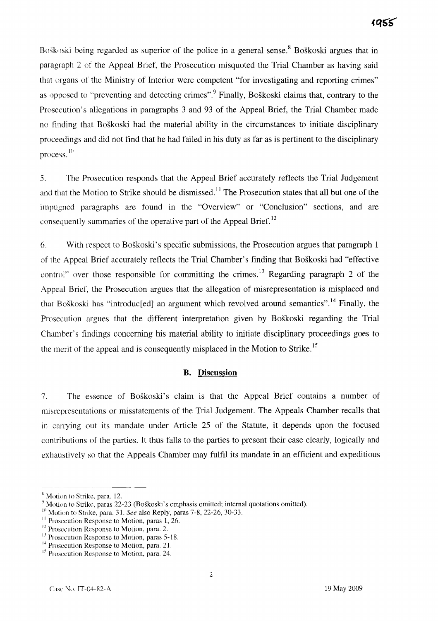Boškoski being regarded as superior of the police in a general sense. <sup>8</sup>Boškoski argues that in paragraph 2 of the Appeal Brief, the Prosecution misquoted the Trial Chamber as having said that organs of the Ministry of Interior were competent "for investigating and reporting crimes" as opposed to "preventing and detecting crimes".<sup>9</sup> Finally, Boškoski claims that, contrary to the Prosecution's allegations in paragraphs 3 and 93 of the Appeal Brief, the Trial Chamber made no finding that Boškoski had the material ability in the circumstances to initiate disciplinary proceedings and did not find that he had failed in his duty as far as is pertinent to the disciplinary process.<sup>10</sup>

5. The Prosecution responds that the Appeal Brief accurately reflects the Trial Judgement and that the Motion to Strike should be dismissed.<sup>11</sup> The Prosecution states that all but one of the impugned paragraphs are found in the "Overview" or "Conclusion" sections, and are consequently summaries of the operative part of the Appeal Brief.<sup>12</sup>

6. With respect to Boškoski's specific submissions, the Prosecution argues that paragraph 1 of the Appeal Brief accurately ret1ects the Trial Chamber's finding that Boškoski had "effective control" over those responsible for committing the crimes.<sup>13</sup> Regarding paragraph 2 of the Appeal Brief, the Prosecution argues that the allegation of misrepresentation is misplaced and that Boškoski has "introduc[ed] an argument which revolved around semantics".<sup>14</sup> Finally, the Prosecution argues that the different interpretation given by Boškoski regarding the Trial Chamber's findings concerning his material ability to initiate disciplinary proceedings goes to the merit of the appeal and is consequently misplaced in the Motion to Strike.<sup>15</sup>

#### **B. Discussion**

7. The essence of Boškoski 's claim is that the Appeal Brief contains a number of misrepresentations or misstatements of the Trial Judgement. The Appeals Chamber recalls that in carrying out its mandate under Article 25 of the Statute, it depends upon the focused contributions of the parties. It thus falls to the parties to present their case clearly, logically and exhaustively so that the Appeals Chamber may fulfil its mandate in an efficient and expeditious

 $<sup>8</sup>$  Motion to Strike, para. 12.</sup>

 $^9$  Motion to Strike, paras 22-23 (Boškoski's emphasis omitted; internal quotations omitted).

<sup>&</sup>lt;sup>III</sup> Motion to Strike, para. 31. *See* also Reply, paras 7-8, 22-26, 30-33.

<sup>&</sup>lt;sup>11</sup> Prosecution Response to Motion, paras 1, 26.

<sup>&</sup>lt;sup>12</sup> Prosecution Response to Motion, para. 2.

 $<sup>13</sup>$  Prosecution Response to Motion, paras 5-18.</sup>

<sup>&</sup>lt;sup>14</sup> Prosecution Response to Motion, para. 21.

<sup>&</sup>lt;sup>15</sup> Prosecution Response to Motion, para. 24.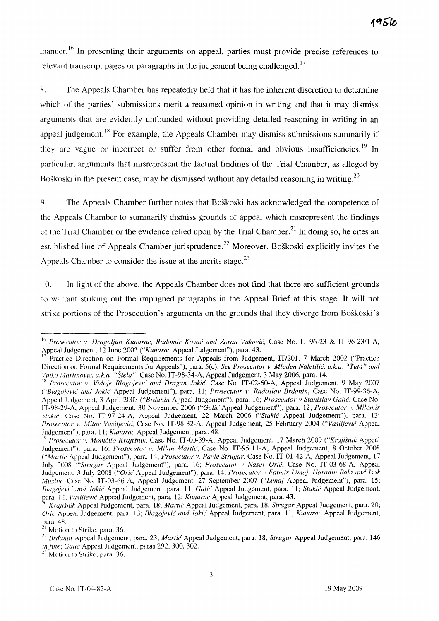manner.<sup>16</sup> In presenting their arguments on appeal, parties must provide precise references to relevant transcript pages or paragraphs in the judgement being challenged.<sup>17</sup>

R. The Appeals Chamber has repeatedly held that it has the inherent discretion to determine which of the parties' submissions merit a reasoned opinion in writing and that it may dismiss arguments that are evidently unfounded without providing detailed reasoning in writing in an appeal judgement.<sup>18</sup> For example, the Appeals Chamber may dismiss submissions summarily if they are vague or incorrect or suffer from other formal and obvious insufficiencies.<sup>19</sup> In particular, arguments that misrepresent the factual findings of the Trial Chamber, as alleged by Boškoski in the present case, may be dismissed without any detailed reasoning in writing.<sup>20</sup>

9. The Appeals Chamber further notes that Boškoski has acknowledged the competence of the Appeals Chamber to summarily dismiss grounds of appeal which misrepresent the findings of the Trial Chamber or the evidence relied upon by the Trial Chamber.<sup>21</sup> In doing so, he cites an established line of Appeals Chamber jurisprudence.<sup>22</sup> Moreover, Boškoski explicitly invites the Appeals Chamber to consider the issue at the merits stage.<sup>23</sup>

10. In light of the above, the Appeals Chamber does not find that there are sufficient grounds to warrant striking out the impugned paragraphs in the Appeal Brief at this stage. It will not strike portions of the Prosecution's arguments on the grounds that they diverge from Boškoski's

<sup>&</sup>lt;sup>16</sup> Prosecutor v. Dragoljub Kunarac, Radomir Kovač and Zoran Vuković, Case No. IT-96-23 & IT-96-23/1-A, Appeal Judgement, 12 June 2002 *("Kunarac* Appeal Judgement"), para. 43.

Practice Direction on Formal Requirements for Appeals from Judgement, IT/201, 7 March 2002 ("Practice Direction on Formal Requirements for Appeals"), para. 5(c); *See Prosecutor v. Mladen* Naletilić, *a.k.a. "Tuta" and Vinko* Martinović', *a.k.a. "Štela",* Case No. IT-98-34-A, Appeal Judgement, 3 May 2006, para. 14.

<sup>&</sup>lt;sup>18</sup> Prosecutor v. Vidoje Blagojević and Dragan Jokić, Case No. IT-02-60-A, Appeal Judgement, 9 May 2007 *("'BlaJ;ojevi{ and Jokie'* Appeal Judgement"), para. 11; *Prosa'utor v. Radoslav* Brđanin, Case No. IT-99-36-A, Appeal Judgement, 3 April 2007 ("Brđanin Appeal Judgement"), para. 16; *Prosecutor v Stanislav* Galić, Case No. IT-98-29-A, Appeal Judgement, 30 November 2006 ("Galić Appeal Judgement"), para. 12; *Prosecutor v. Milomir Stakie'.* Case No. IT-97-24-A, Appeal Judgement, 22 March 2006 ("Stakić Appeal Judgement"), para. 13; *ProseClttor v, Mitar* Vasi(jević, Case No. IT-98-32-A, Appeal Judgement, 25 February 2004 ("Vasiljević Appeal JUdgement"), para. ll; *Kunarac* Appeal Judgement, para. 48.

IY *Prosecutor v. Mmn('ilo Kraji§nik,* Case No. IT-00-39-A, Appeal Judgement, 17 March 2009 *("Krajišnik* Appeal Judgement"), para. 16; *Prosecutor v. Milan* Martić, Case No. IT-95-ll-A, Appeal Judgement, 8 October 2008 *("Martić Appeal Judgement"), para. 14; Prosecutor v. Pavle Strugar, Case No. IT-01-42-A, Appeal Judgement, 17* July 200S *("Strugar* Appeal Judgement"), para. 16; *Prosecutor v Naser* Orić, Case No. IT-03-68-A, Appeal Judgement, 3 July 2008 ("Orić Appeal Judgement"), para. 14; *Prosecutor* v *Fatmir Limaj, Haradin Bala and Isak MilS/ill.* Case No. IT-03-66-A, Appeal Judgement, 27 September 2007 *("Limaj* Appeal Judgement"), para. 15; Blagojević and Jokić Appeal Judgement, para. 11; Galić Appeal Judgement, para. 11; Stakić Appeal Judgement, para 12; Vasiljević Appeal Judgement, para. 12; *Kunarac Appeal Judgement*, para. 43.

Krajišnik Appeal Judgement, para. 18; Martić Appeal Judgement, para. 18, *Strugar Appeal Judgement, para.* 20; *Orie* Appeal Judgement, para. 13; Blagojević' *and* Jokić Appeal Judgement, para. ll, *Kunarac* Appeal Judgement, para. 48.

Motion to Strike, para. 36.

<sup>&</sup>lt;sup>22</sup> Brdanin Appeal Judgement, para. 23; *Martić* Appeal Judgement, para. 18; *Strugar* Appeal Judgement, para. 146 in fine; Galic Appeal Judgement, paras 292, 300, 302.

 $23$  Motion to Strike, para. 36.